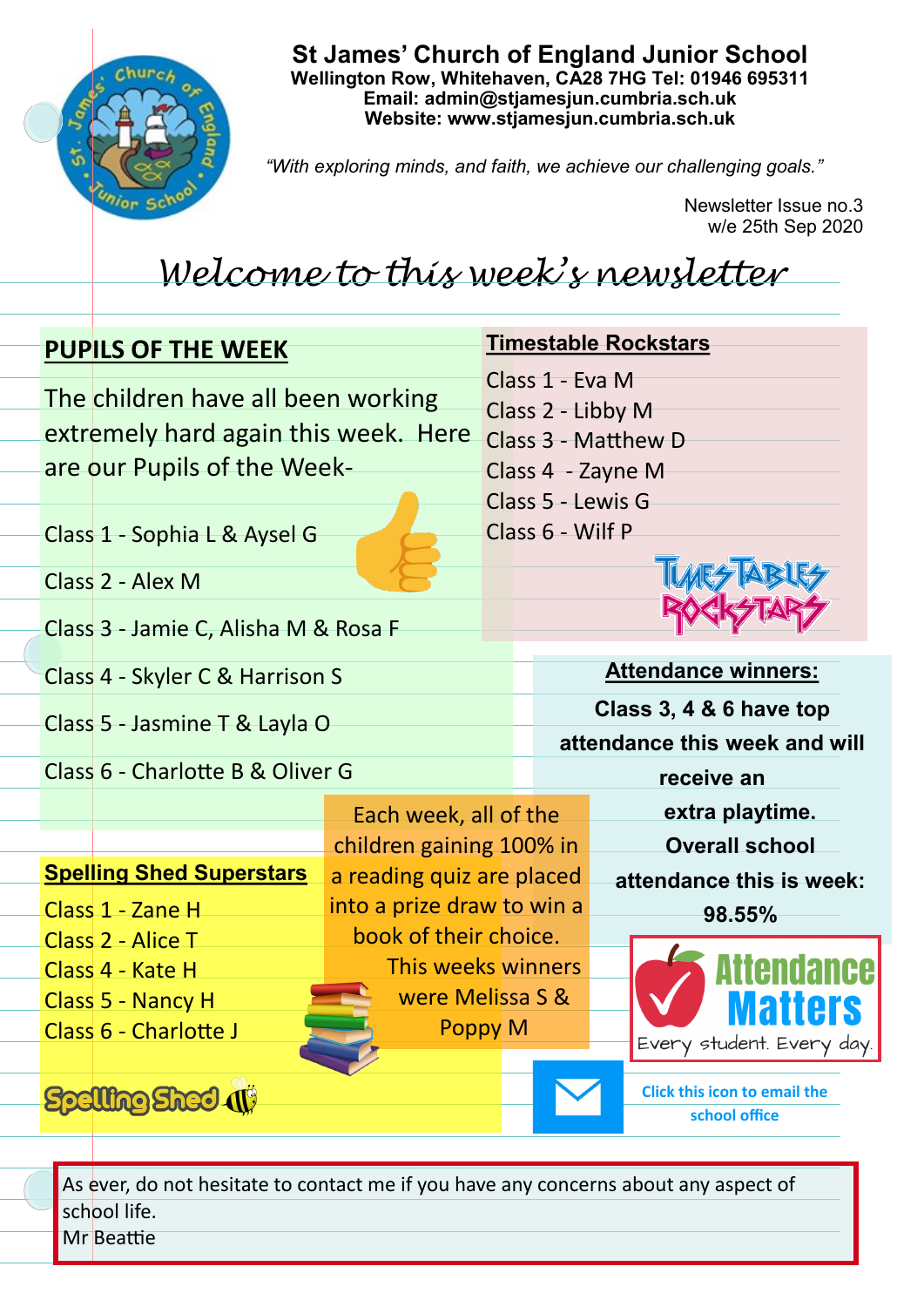

**St James' Church of England Junior School Wellington Row, Whitehaven, CA28 7HG Tel: 01946 695311 Email: admin@stjamesjun.cumbria.sch.uk Website: www.stjamesjun.cumbria.sch.uk**

*"With exploring minds, and faith, we achieve our challenging goals."*

Newsletter Issue no.3 w/e 25th Sep 2020

## *Welcome to this week's newsletter*

| <b>PUPILS OF THE WEEK</b>            |                                                   |                                          | <b>Timestable Rockstars</b>                          |  |
|--------------------------------------|---------------------------------------------------|------------------------------------------|------------------------------------------------------|--|
| The children have all been working   |                                                   | Class 1 - Eva M                          |                                                      |  |
| extremely hard again this week. Here |                                                   | Class 2 - Libby M<br>Class 3 - Matthew D |                                                      |  |
| are our Pupils of the Week-          |                                                   | Class 4 - Zayne M                        |                                                      |  |
|                                      |                                                   | Class 5 - Lewis G                        |                                                      |  |
| Class 1 - Sophia L & Aysel G         |                                                   | Class 6 - Wilf P                         |                                                      |  |
| Class 2 - Alex M                     |                                                   |                                          |                                                      |  |
| Class 3 - Jamie C, Alisha M & Rosa F |                                                   |                                          |                                                      |  |
|                                      |                                                   |                                          |                                                      |  |
| Class 4 - Skyler C & Harrison S      |                                                   | <b>Attendance winners:</b>               |                                                      |  |
| Class 5 - Jasmine T & Layla O        |                                                   | Class 3, 4 & 6 have top                  |                                                      |  |
| Class 6 - Charlotte B & Oliver G     |                                                   |                                          | attendance this week and will<br>receive an          |  |
|                                      |                                                   |                                          |                                                      |  |
|                                      | Each week, all of the<br>children gaining 100% in |                                          | extra playtime.<br><b>Overall school</b>             |  |
| <b>Spelling Shed Superstars</b>      | a reading quiz are placed                         |                                          | attendance this is week:                             |  |
| Class 1 - Zane H                     | into a prize draw to win a                        |                                          | 98.55%                                               |  |
| Class 2 - Alice T                    | book of their choice.                             |                                          |                                                      |  |
| Class 4 - Kate H                     | This weeks winners                                |                                          |                                                      |  |
| Class 5 - Nancy H                    | were Melissa S &<br><b>Poppy M</b>                |                                          |                                                      |  |
| Class 6 - Charlotte J                |                                                   |                                          | Every student. Every day.                            |  |
| <b>Spelling Shed (1)</b>             |                                                   |                                          | <b>Click this icon to email the</b><br>school office |  |

As ever, do not hesitate to contact me if you have any concerns about any aspect of school life. Mr Beattie